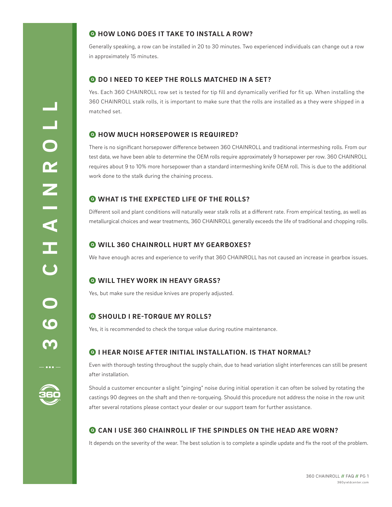# Q **HOW LONG DOES IT TAKE TO INSTALL A ROW?**

Generally speaking, a row can be installed in 20 to 30 minutes. Two experienced individuals can change out a row in approximately 15 minutes.

## Q **DO I NEED TO KEEP THE ROLLS MATCHED IN A SET?**

Yes. Each 360 CHAINROLL row set is tested for tip fill and dynamically verified for fit up. When installing the 360 CHAINROLL stalk rolls, it is important to make sure that the rolls are installed as a they were shipped in a matched set.

## Q **HOW MUCH HORSEPOWER IS REQUIRED?**

There is no significant horsepower difference between 360 CHAINROLL and traditional intermeshing rolls. From our test data, we have been able to determine the OEM rolls require approximately 9 horsepower per row. 360 CHAINROLL requires about 9 to 10% more horsepower than a standard intermeshing knife OEM roll. This is due to the additional work done to the stalk during the chaining process.

# Q **WHAT IS THE EXPECTED LIFE OF THE ROLLS?**

Different soil and plant conditions will naturally wear stalk rolls at a different rate. From empirical testing, as well as metallurgical choices and wear treatments, 360 CHAINROLL generally exceeds the life of traditional and chopping rolls.

## Q **WILL 360 CHAINROLL HURT MY GEARBOXES?**

We have enough acres and experience to verify that 360 CHAINROLL has not caused an increase in gearbox issues.

## Q **WILL THEY WORK IN HEAVY GRASS?**

Yes, but make sure the residue knives are properly adjusted.

## Q **SHOULD I RE-TORQUE MY ROLLS?**

Yes, it is recommended to check the torque value during routine maintenance.

## Q **I HEAR NOISE AFTER INITIAL INSTALLATION. IS THAT NORMAL?**

Even with thorough testing throughout the supply chain, due to head variation slight interferences can still be present after installation.

Should a customer encounter a slight "pinging" noise during initial operation it can often be solved by rotating the castings 90 degrees on the shaft and then re-torqueing. Should this procedure not address the noise in the row unit after several rotations please contact your dealer or our support team for further assistance.

# Q **CAN I USE 360 CHAINROLL IF THE SPINDLES ON THE HEAD ARE WORN?**

It depends on the severity of the wear. The best solution is to complete a spindle update and fix the root of the problem.